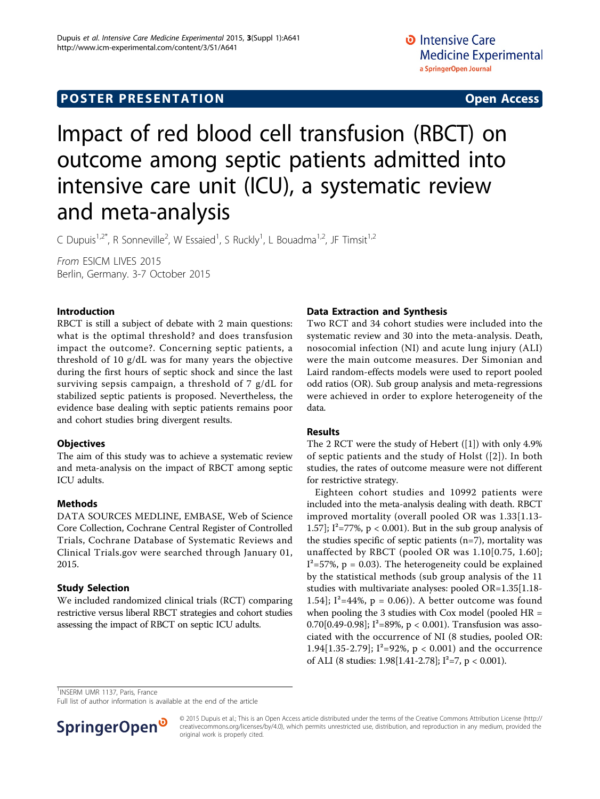# Impact of red blood cell transfusion (RBCT) on outcome among septic patients admitted into intensive care unit (ICU), a systematic review and meta-analysis

C Dupuis<sup>1,2\*</sup>, R Sonneville<sup>2</sup>, W Essaied<sup>1</sup>, S Ruckly<sup>1</sup>, L Bouadma<sup>1,2</sup>, JF Timsit<sup>1,2</sup>

From ESICM LIVES 2015 Berlin, Germany. 3-7 October 2015

## Introduction

RBCT is still a subject of debate with 2 main questions: what is the optimal threshold? and does transfusion impact the outcome?. Concerning septic patients, a threshold of 10 g/dL was for many years the objective during the first hours of septic shock and since the last surviving sepsis campaign, a threshold of 7 g/dL for stabilized septic patients is proposed. Nevertheless, the evidence base dealing with septic patients remains poor and cohort studies bring divergent results.

## **Objectives**

The aim of this study was to achieve a systematic review and meta-analysis on the impact of RBCT among septic ICU adults.

## Methods

DATA SOURCES MEDLINE, EMBASE, Web of Science Core Collection, Cochrane Central Register of Controlled Trials, Cochrane Database of Systematic Reviews and Clinical Trials.gov were searched through January 01, 2015.

## Study Selection

We included randomized clinical trials (RCT) comparing restrictive versus liberal RBCT strategies and cohort studies assessing the impact of RBCT on septic ICU adults.

## Data Extraction and Synthesis

Two RCT and 34 cohort studies were included into the systematic review and 30 into the meta-analysis. Death, nosocomial infection (NI) and acute lung injury (ALI) were the main outcome measures. Der Simonian and Laird random-effects models were used to report pooled odd ratios (OR). Sub group analysis and meta-regressions were achieved in order to explore heterogeneity of the data.

## Results

The 2 RCT were the study of Hebert ([[1](#page-1-0)]) with only 4.9% of septic patients and the study of Holst ([[2](#page-1-0)]). In both studies, the rates of outcome measure were not different for restrictive strategy.

Eighteen cohort studies and 10992 patients were included into the meta-analysis dealing with death. RBCT improved mortality (overall pooled OR was 1.33[1.13- 1.57];  $I^2 = 77\%$ ,  $p < 0.001$ ). But in the sub group analysis of the studies specific of septic patients  $(n=7)$ , mortality was unaffected by RBCT (pooled OR was 1.10[0.75, 1.60];  $I^2$ =57%, p = 0.03). The heterogeneity could be explained by the statistical methods (sub group analysis of the 11 studies with multivariate analyses: pooled OR=1.35[1.18- 1.54];  $I^2 = 44\%$ ,  $p = 0.06$ ). A better outcome was found when pooling the 3 studies with Cox model (pooled HR = 0.70[0.49-0.98]; I²=89%, p < 0.001). Transfusion was associated with the occurrence of NI (8 studies, pooled OR: 1.94 $[1.35-2.79]$ ; I<sup>2</sup>=92%, p < 0.001) and the occurrence of ALI (8 studies: 1.98[1.41-2.78];  $I^2=7$ , p < 0.001).

<sup>1</sup>INSERM UMR 1137, Paris, France

Full list of author information is available at the end of the article



© 2015 Dupuis et al.; This is an Open Access article distributed under the terms of the Creative Commons Attribution License [\(http://](http://creativecommons.org/licenses/by/4.0) [creativecommons.org/licenses/by/4.0](http://creativecommons.org/licenses/by/4.0)), which permits unrestricted use, distribution, and reproduction in any medium, provided the original work is properly cited.